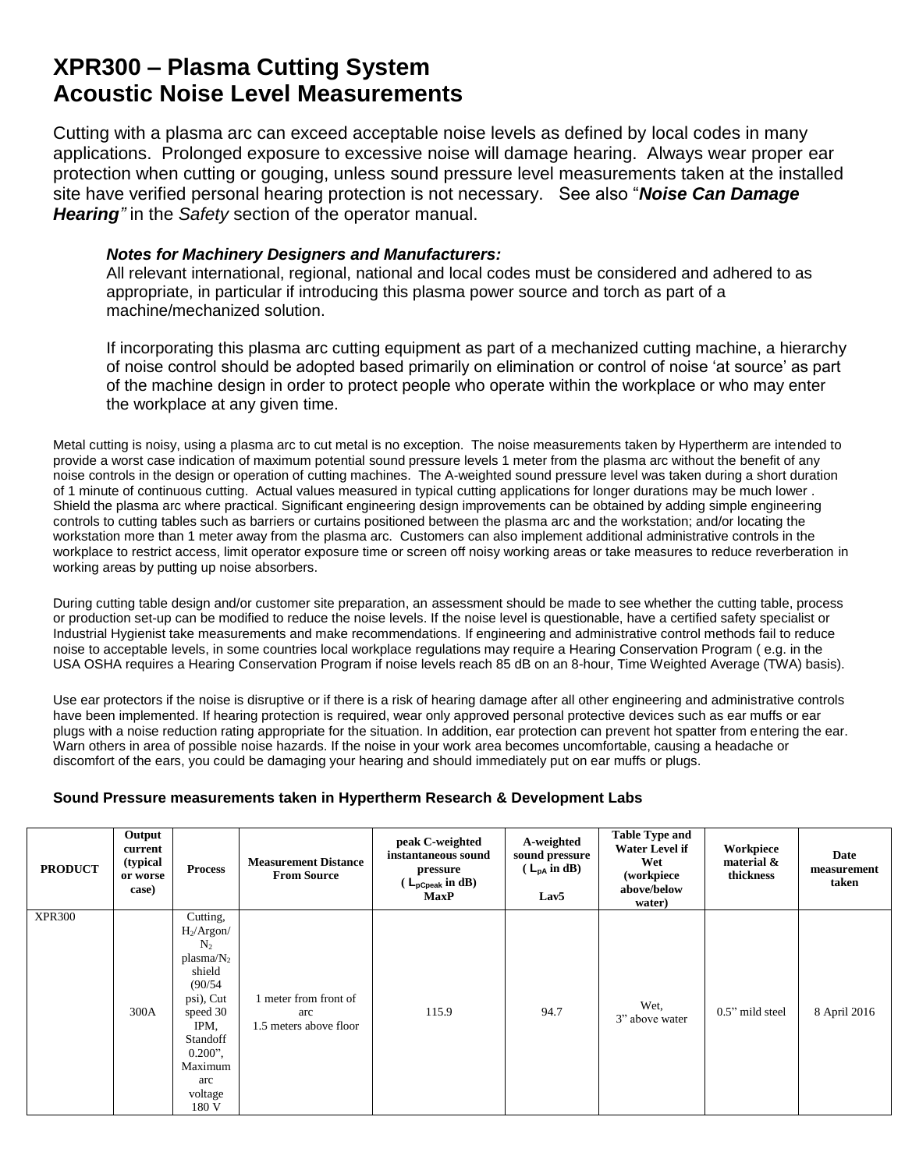## **XPR300 – Plasma Cutting System Acoustic Noise Level Measurements**

Cutting with a plasma arc can exceed acceptable noise levels as defined by local codes in many applications. Prolonged exposure to excessive noise will damage hearing. Always wear proper ear protection when cutting or gouging, unless sound pressure level measurements taken at the installed site have verified personal hearing protection is not necessary. See also "*Noise Can Damage Hearing"* in the *Safety* section of the operator manual.

## *Notes for Machinery Designers and Manufacturers:*

All relevant international, regional, national and local codes must be considered and adhered to as appropriate, in particular if introducing this plasma power source and torch as part of a machine/mechanized solution.

If incorporating this plasma arc cutting equipment as part of a mechanized cutting machine, a hierarchy of noise control should be adopted based primarily on elimination or control of noise 'at source' as part of the machine design in order to protect people who operate within the workplace or who may enter the workplace at any given time.

Metal cutting is noisy, using a plasma arc to cut metal is no exception. The noise measurements taken by Hypertherm are intended to provide a worst case indication of maximum potential sound pressure levels 1 meter from the plasma arc without the benefit of any noise controls in the design or operation of cutting machines. The A-weighted sound pressure level was taken during a short duration of 1 minute of continuous cutting. Actual values measured in typical cutting applications for longer durations may be much lower . Shield the plasma arc where practical. Significant engineering design improvements can be obtained by adding simple engineering controls to cutting tables such as barriers or curtains positioned between the plasma arc and the workstation; and/or locating the workstation more than 1 meter away from the plasma arc. Customers can also implement additional administrative controls in the workplace to restrict access, limit operator exposure time or screen off noisy working areas or take measures to reduce reverberation in working areas by putting up noise absorbers.

During cutting table design and/or customer site preparation, an assessment should be made to see whether the cutting table, process or production set-up can be modified to reduce the noise levels. If the noise level is questionable, have a certified safety specialist or Industrial Hygienist take measurements and make recommendations. If engineering and administrative control methods fail to reduce noise to acceptable levels, in some countries local workplace regulations may require a Hearing Conservation Program ( e.g. in the USA OSHA requires a Hearing Conservation Program if noise levels reach 85 dB on an 8-hour, Time Weighted Average (TWA) basis).

Use ear protectors if the noise is disruptive or if there is a risk of hearing damage after all other engineering and administrative controls have been implemented. If hearing protection is required, wear only approved personal protective devices such as ear muffs or ear plugs with a noise reduction rating appropriate for the situation. In addition, ear protection can prevent hot spatter from entering the ear. Warn others in area of possible noise hazards. If the noise in your work area becomes uncomfortable, causing a headache or discomfort of the ears, you could be damaging your hearing and should immediately put on ear muffs or plugs.

## **Sound Pressure measurements taken in Hypertherm Research & Development Labs**

| <b>PRODUCT</b> | Output<br>current<br>(typical<br>or worse<br>case) | <b>Process</b>                                                                                                                                                                   | <b>Measurement Distance</b><br><b>From Source</b>    | peak C-weighted<br>instantaneous sound<br>pressure<br>$(L_{\text{pCpeak}} \text{ in dB})$<br><b>MaxP</b> | A-weighted<br>sound pressure<br>$(L_{pA} \text{ in } dB)$<br>Lav <sub>5</sub> | <b>Table Type and</b><br><b>Water Level if</b><br>Wet<br>(workpiece<br>above/below<br>water) | Workpiece<br>material &<br>thickness | Date<br>measurement<br>taken |
|----------------|----------------------------------------------------|----------------------------------------------------------------------------------------------------------------------------------------------------------------------------------|------------------------------------------------------|----------------------------------------------------------------------------------------------------------|-------------------------------------------------------------------------------|----------------------------------------------------------------------------------------------|--------------------------------------|------------------------------|
| <b>XPR300</b>  | 300A                                               | Cutting,<br>$H_2/Argon/$<br>N <sub>2</sub><br>$plasma/N_2$<br>shield<br>(90/54)<br>psi), Cut<br>speed 30<br>IPM,<br>Standoff<br>$0.200$ ",<br>Maximum<br>arc<br>voltage<br>180 V | meter from front of<br>arc<br>1.5 meters above floor | 115.9                                                                                                    | 94.7                                                                          | Wet,<br>3" above water                                                                       | $0.5$ " mild steel                   | 8 April 2016                 |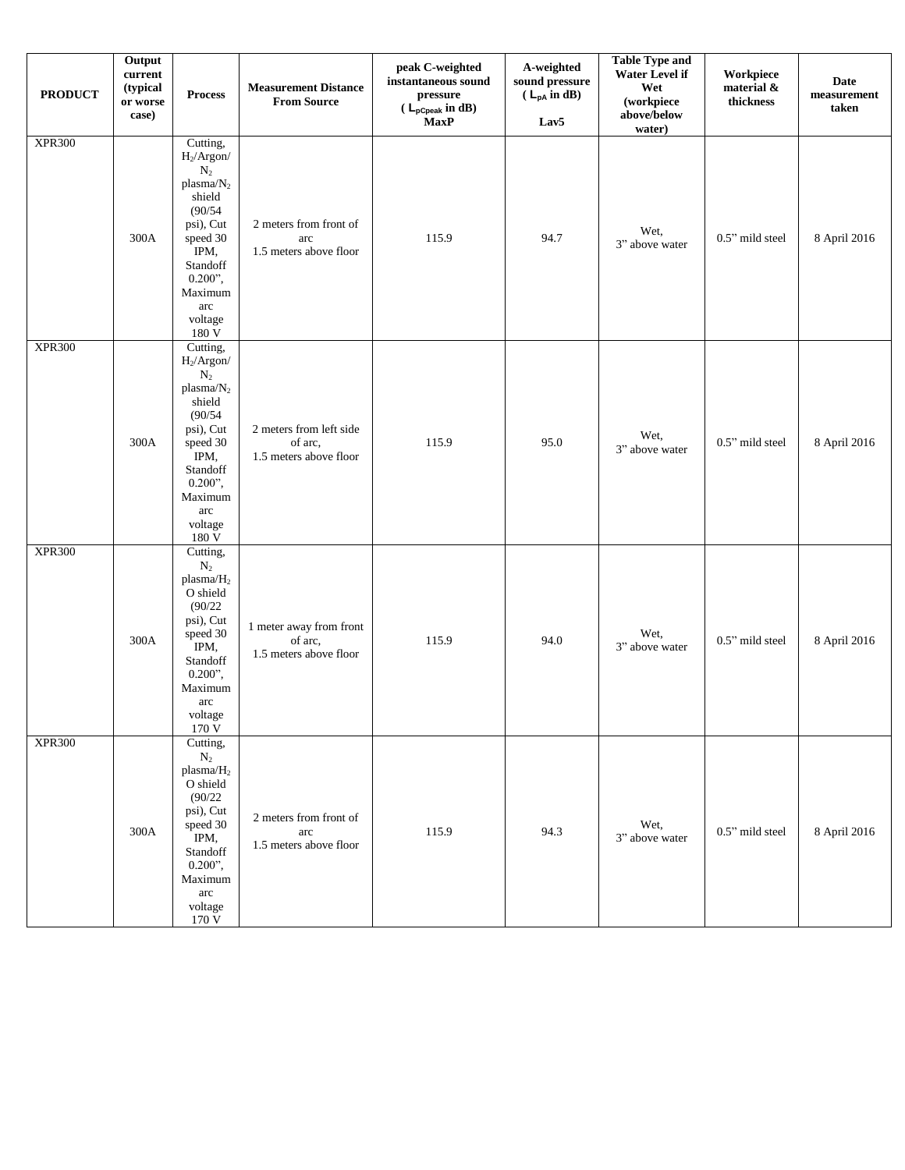| <b>PRODUCT</b> | Output<br>current<br>(typical<br>or worse<br>case) | <b>Process</b>                                                                                                                                                                     | <b>Measurement Distance</b><br><b>From Source</b>            | peak C-weighted<br>instantaneous sound<br>pressure<br>$(L_{pCpeak} \text{ in dB})$<br><b>MaxP</b> | A-weighted<br>sound pressure<br>$(L_{pA} \text{ in } dB)$<br>Lav5 | <b>Table Type and</b><br>Water Level if<br>Wet<br>(workpiece<br>above/below<br>water) | Workpiece<br>material &<br>thickness | <b>Date</b><br>measurement<br>taken |
|----------------|----------------------------------------------------|------------------------------------------------------------------------------------------------------------------------------------------------------------------------------------|--------------------------------------------------------------|---------------------------------------------------------------------------------------------------|-------------------------------------------------------------------|---------------------------------------------------------------------------------------|--------------------------------------|-------------------------------------|
| <b>XPR300</b>  | 300A                                               | Cutting,<br>$H_2/Argon/$<br>$\rm N_2$<br>plasma/ $N_2$<br>shield<br>(90/54)<br>psi), Cut<br>speed 30<br>IPM,<br>Standoff<br>$0.200$ ",<br>Maximum<br>arc<br>voltage<br>180V        | 2 meters from front of<br>arc<br>1.5 meters above floor      | 115.9                                                                                             | 94.7                                                              | Wet,<br>3" above water                                                                | 0.5" mild steel                      | 8 April 2016                        |
| <b>XPR300</b>  | 300A                                               | Cutting,<br>$H_2/Argon/$<br>$\mathrm{N}_2$<br>plasma/ $N_2$<br>shield<br>(90/54)<br>psi), Cut<br>speed 30<br>IPM,<br>Standoff<br>$0.200$ ",<br>Maximum<br>arc<br>voltage<br>180V   | 2 meters from left side<br>of arc,<br>1.5 meters above floor | 115.9                                                                                             | 95.0                                                              | Wet,<br>3" above water                                                                | 0.5" mild steel                      | 8 April 2016                        |
| <b>XPR300</b>  | 300A                                               | Cutting,<br>$\rm N_2$<br>plasma/H <sub>2</sub><br>O shield<br>(90/22)<br>psi), Cut<br>speed 30<br>IPM,<br>Standoff<br>$0.200$ ",<br>Maximum<br>arc<br>voltage<br>170 V             | 1 meter away from front<br>of arc,<br>1.5 meters above floor | 115.9                                                                                             | 94.0                                                              | Wet,<br>3" above water                                                                | 0.5" mild steel                      | 8 April 2016                        |
| <b>XPR300</b>  | 300A                                               | Cutting,<br>$\rm N_2$<br>plasma/H <sub>2</sub><br>O shield<br>(90/22)<br>psi), Cut<br>speed 30<br>IPM,<br>Standoff<br>$0.200$ ",<br>Maximum<br>arc<br>voltage<br>$170\,\mathrm{V}$ | 2 meters from front of<br>arc<br>1.5 meters above floor      | 115.9                                                                                             | 94.3                                                              | Wet,<br>3" above water                                                                | 0.5" mild steel                      | 8 April 2016                        |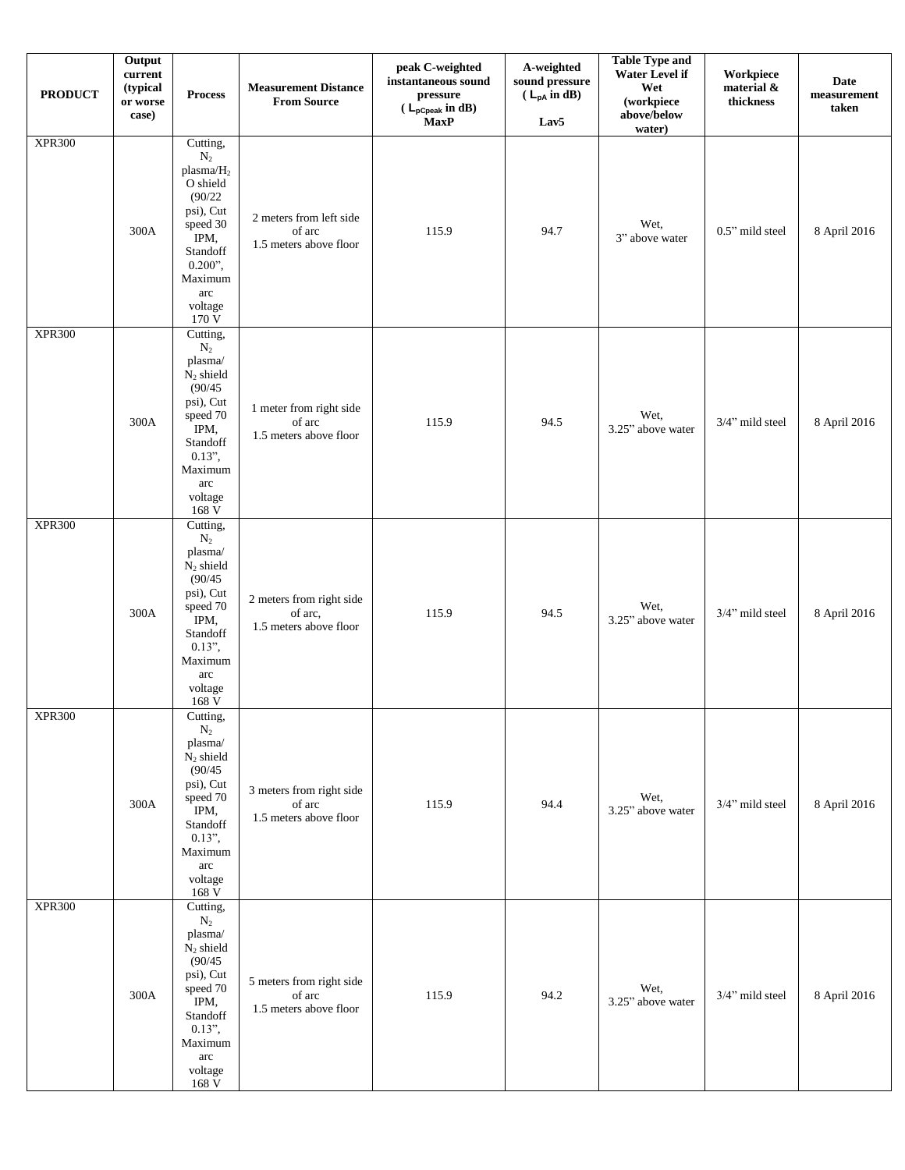| <b>PRODUCT</b> | Output<br>current<br>(typical<br>or worse<br>case) | <b>Process</b>                                                                                                                                                         | <b>Measurement Distance</b><br><b>From Source</b>             | peak C-weighted<br>instantaneous sound<br>pressure<br>$(L_{pCpeak} \text{ in dB})$<br><b>MaxP</b> | A-weighted<br>sound pressure<br>$(L_{pA} \text{ in } dB)$<br>Lav5 | <b>Table Type and</b><br><b>Water Level if</b><br>Wet<br>(workpiece<br>above/below<br>water) | Workpiece<br>material &<br>thickness | <b>Date</b><br>measurement<br>taken |
|----------------|----------------------------------------------------|------------------------------------------------------------------------------------------------------------------------------------------------------------------------|---------------------------------------------------------------|---------------------------------------------------------------------------------------------------|-------------------------------------------------------------------|----------------------------------------------------------------------------------------------|--------------------------------------|-------------------------------------|
| <b>XPR300</b>  | 300A                                               | Cutting,<br>$\rm N_2$<br>plasma/ $H_2$<br>O shield<br>(90/22)<br>psi), Cut<br>speed 30<br>IPM,<br>Standoff<br>$0.200$ ",<br>Maximum<br>arc<br>voltage<br>170 V         | 2 meters from left side<br>of arc<br>1.5 meters above floor   | 115.9                                                                                             | 94.7                                                              | Wet,<br>3" above water                                                                       | 0.5" mild steel                      | 8 April 2016                        |
| <b>XPR300</b>  | 300A                                               | Cutting,<br>$\rm N_2$<br>plasma/<br>$N_2$ shield<br>(90/45)<br>psi), Cut<br>speed 70<br>IPM,<br>Standoff<br>$0.13$ ",<br>Maximum<br>arc<br>voltage<br>$168~\mathrm{V}$ | 1 meter from right side<br>of arc<br>1.5 meters above floor   | 115.9                                                                                             | 94.5                                                              | Wet,<br>3.25" above water                                                                    | 3/4" mild steel                      | 8 April 2016                        |
| <b>XPR300</b>  | 300A                                               | Cutting,<br>$\rm N_2$<br>plasma/<br>$\rm N_2$ shield<br>(90/45)<br>psi), Cut<br>speed 70<br>IPM,<br>Standoff<br>$0.13$ ",<br>Maximum<br>arc<br>voltage<br>168 V        | 2 meters from right side<br>of arc,<br>1.5 meters above floor | 115.9                                                                                             | 94.5                                                              | Wet,<br>3.25" above water                                                                    | 3/4" mild steel                      | 8 April 2016                        |
| <b>XPR300</b>  | 300A                                               | Cutting,<br>$\rm N_2$<br>plasma/<br>$N_2$ shield<br>(90/45)<br>psi), Cut<br>speed 70<br>IPM,<br>Standoff<br>$0.13$ ",<br>Maximum<br>arc<br>voltage<br>168V             | 3 meters from right side<br>of arc<br>1.5 meters above floor  | 115.9                                                                                             | 94.4                                                              | Wet,<br>3.25" above water                                                                    | 3/4" mild steel                      | 8 April 2016                        |
| <b>XPR300</b>  | 300A                                               | Cutting,<br>$\rm N_2$<br>plasma/<br>$N_2$ shield<br>(90/45)<br>psi), Cut<br>speed 70<br>IPM,<br>Standoff<br>$0.13$ ",<br>Maximum<br>arc<br>voltage<br>168V             | 5 meters from right side<br>of arc<br>1.5 meters above floor  | 115.9                                                                                             | 94.2                                                              | Wet,<br>3.25" above water                                                                    | 3/4" mild steel                      | 8 April 2016                        |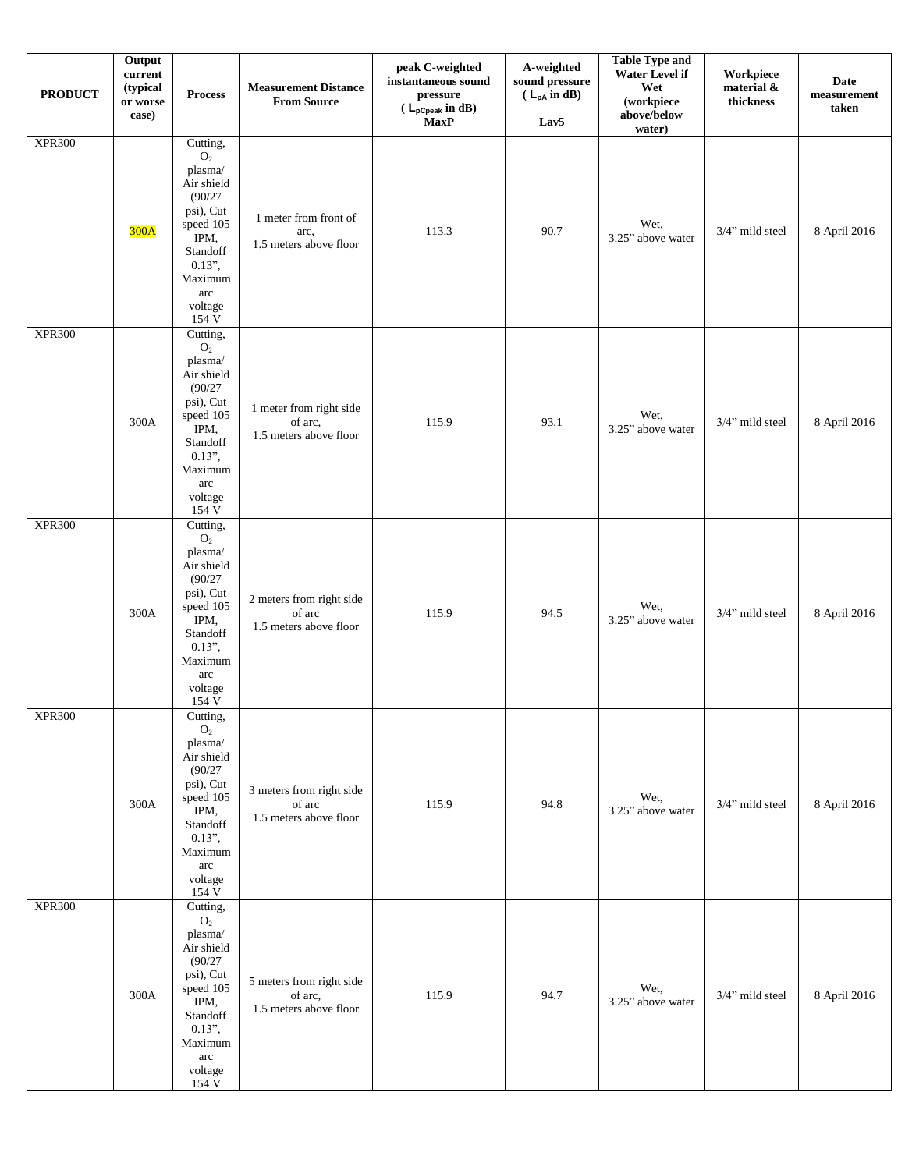| <b>PRODUCT</b> | Output<br>current<br>(typical<br>or worse<br>case) | <b>Process</b>                                                                                                                                                  | <b>Measurement Distance</b><br><b>From Source</b>             | peak C-weighted<br>instantaneous sound<br>pressure<br>( $\mathsf{L}_{\mathsf{pCpeak}}$ in dB)<br><b>MaxP</b> | A-weighted<br>sound pressure<br>$(L_{pA} \text{ in } dB)$<br>Lav <sub>5</sub> | <b>Table Type and</b><br>Water Level if<br>Wet<br>(workpiece<br>above/below<br>water) | Workpiece<br>material &<br>thickness | <b>Date</b><br>measurement<br>taken |
|----------------|----------------------------------------------------|-----------------------------------------------------------------------------------------------------------------------------------------------------------------|---------------------------------------------------------------|--------------------------------------------------------------------------------------------------------------|-------------------------------------------------------------------------------|---------------------------------------------------------------------------------------|--------------------------------------|-------------------------------------|
| <b>XPR300</b>  | 300A                                               | Cutting,<br>$\mathrm{O}_2$<br>plasma/<br>Air shield<br>(90/27)<br>psi), Cut<br>speed 105<br>IPM,<br>Standoff<br>$0.13$ ",<br>Maximum<br>arc<br>voltage<br>154 V | 1 meter from front of<br>arc.<br>1.5 meters above floor       | 113.3                                                                                                        | 90.7                                                                          | Wet,<br>3.25" above water                                                             | 3/4" mild steel                      | 8 April 2016                        |
| <b>XPR300</b>  | 300A                                               | Cutting,<br>$\mathrm{O}_2$<br>plasma/<br>Air shield<br>(90/27)<br>psi), Cut<br>speed 105<br>IPM,<br>Standoff<br>$0.13$ ",<br>Maximum<br>arc<br>voltage<br>154 V | 1 meter from right side<br>of arc,<br>1.5 meters above floor  | 115.9                                                                                                        | 93.1                                                                          | Wet,<br>3.25" above water                                                             | 3/4" mild steel                      | 8 April 2016                        |
| <b>XPR300</b>  | 300A                                               | Cutting,<br>$\mathbf{O}_2$<br>plasma/<br>Air shield<br>(90/27)<br>psi), Cut<br>speed 105<br>IPM,<br>Standoff<br>$0.13$ ",<br>Maximum<br>arc<br>voltage<br>154 V | 2 meters from right side<br>of arc<br>1.5 meters above floor  | 115.9                                                                                                        | 94.5                                                                          | Wet,<br>3.25" above water                                                             | 3/4" mild steel                      | 8 April 2016                        |
| <b>XPR300</b>  | 300A                                               | Cutting,<br>O <sub>2</sub><br>plasma/<br>Air shield<br>(90/27)<br>psi), Cut<br>speed 105<br>IPM,<br>Standoff<br>$0.13$ ",<br>Maximum<br>arc<br>voltage<br>154V  | 3 meters from right side<br>of arc<br>1.5 meters above floor  | 115.9                                                                                                        | 94.8                                                                          | Wet,<br>3.25" above water                                                             | 3/4" mild steel                      | 8 April 2016                        |
| <b>XPR300</b>  | 300A                                               | Cutting,<br>O <sub>2</sub><br>plasma/<br>Air shield<br>(90/27)<br>psi), Cut<br>speed 105<br>IPM,<br>Standoff<br>$0.13$ ",<br>Maximum<br>arc<br>voltage<br>154V  | 5 meters from right side<br>of arc,<br>1.5 meters above floor | 115.9                                                                                                        | 94.7                                                                          | Wet.<br>3.25" above water                                                             | 3/4" mild steel                      | 8 April 2016                        |